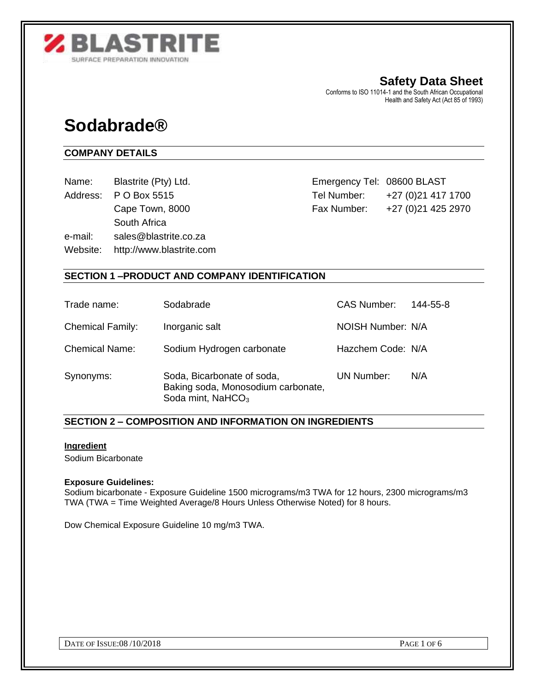

**Safety Data Sheet** Conforms to ISO 11014-1 and the South African Occupational Health and Safety Act (Act 85 of 1993)

# **Sodabrade®**

# **COMPANY DETAILS**

- 
- 

South Africa

e-mail: sales@blastrite.co.za

Website: http://www.blastrite.com

Name: Blastrite (Pty) Ltd. Communication of the emergency Tel: 08600 BLAST Address: P O Box 5515 Tel Number: +27 (0)21 417 1700 Cape Town, 8000 Fax Number: +27 (0) 21 425 2970

# **SECTION 1 –PRODUCT AND COMPANY IDENTIFICATION**

| Trade name:             | Sodabrade                                                                                         | <b>CAS Number:</b> | 144-55-8 |
|-------------------------|---------------------------------------------------------------------------------------------------|--------------------|----------|
| <b>Chemical Family:</b> | Inorganic salt                                                                                    | NOISH Number: N/A  |          |
| <b>Chemical Name:</b>   | Sodium Hydrogen carbonate                                                                         | Hazchem Code: N/A  |          |
| Synonyms:               | Soda, Bicarbonate of soda,<br>Baking soda, Monosodium carbonate,<br>Soda mint, NaHCO <sub>3</sub> | <b>UN Number:</b>  | N/A      |

# **SECTION 2 – COMPOSITION AND INFORMATION ON INGREDIENTS**

# **Ingredient**

Sodium Bicarbonate

## **Exposure Guidelines:**

Sodium bicarbonate - Exposure Guideline 1500 micrograms/m3 TWA for 12 hours, 2300 micrograms/m3 TWA (TWA = Time Weighted Average/8 Hours Unless Otherwise Noted) for 8 hours.

Dow Chemical Exposure Guideline 10 mg/m3 TWA.

DATE OF ISSUE:08 /10/2018 PAGE 1 OF 6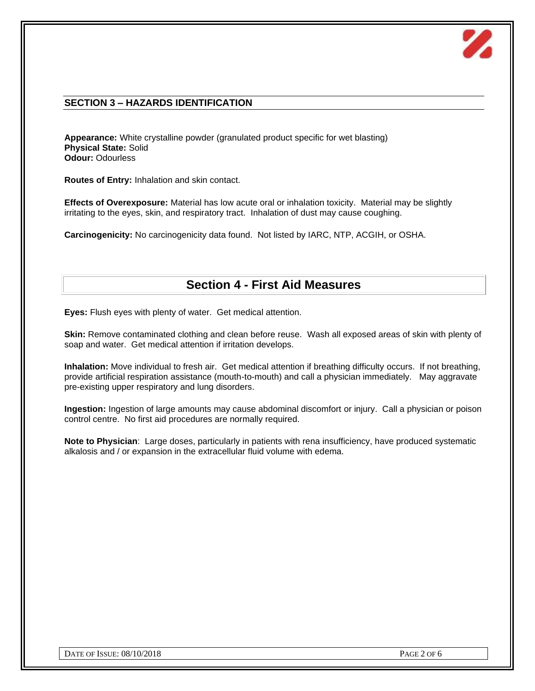

# **SECTION 3 – HAZARDS IDENTIFICATION**

**Appearance:** White crystalline powder (granulated product specific for wet blasting) **Physical State:** Solid **Odour:** Odourless

**Routes of Entry:** Inhalation and skin contact.

**Effects of Overexposure:** Material has low acute oral or inhalation toxicity. Material may be slightly irritating to the eyes, skin, and respiratory tract. Inhalation of dust may cause coughing.

**Carcinogenicity:** No carcinogenicity data found. Not listed by IARC, NTP, ACGIH, or OSHA.

# **Section 4 - First Aid Measures**

**Eyes:** Flush eyes with plenty of water. Get medical attention.

**Skin:** Remove contaminated clothing and clean before reuse. Wash all exposed areas of skin with plenty of soap and water. Get medical attention if irritation develops.

**Inhalation:** Move individual to fresh air. Get medical attention if breathing difficulty occurs. If not breathing, provide artificial respiration assistance (mouth-to-mouth) and call a physician immediately. May aggravate pre-existing upper respiratory and lung disorders.

**Ingestion:** Ingestion of large amounts may cause abdominal discomfort or injury. Call a physician or poison control centre. No first aid procedures are normally required.

**Note to Physician**: Large doses, particularly in patients with rena insufficiency, have produced systematic alkalosis and / or expansion in the extracellular fluid volume with edema.

DATE OF ISSUE:  $08/10/2018$  PAGE 2 OF 6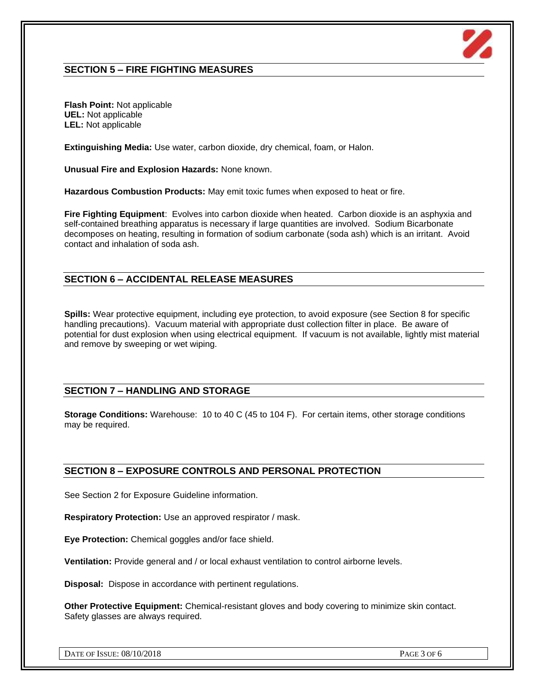

# **SECTION 5 – FIRE FIGHTING MEASURES**

**Flash Point:** Not applicable **UEL:** Not applicable **LEL:** Not applicable

**Extinguishing Media:** Use water, carbon dioxide, dry chemical, foam, or Halon.

**Unusual Fire and Explosion Hazards:** None known.

**Hazardous Combustion Products:** May emit toxic fumes when exposed to heat or fire.

**Fire Fighting Equipment**: Evolves into carbon dioxide when heated. Carbon dioxide is an asphyxia and self-contained breathing apparatus is necessary if large quantities are involved. Sodium Bicarbonate decomposes on heating, resulting in formation of sodium carbonate (soda ash) which is an irritant. Avoid contact and inhalation of soda ash.

## **SECTION 6 – ACCIDENTAL RELEASE MEASURES**

**Spills:** Wear protective equipment, including eye protection, to avoid exposure (see Section 8 for specific handling precautions). Vacuum material with appropriate dust collection filter in place. Be aware of potential for dust explosion when using electrical equipment. If vacuum is not available, lightly mist material and remove by sweeping or wet wiping.

## **SECTION 7 – HANDLING AND STORAGE**

**Storage Conditions:** Warehouse: 10 to 40 C (45 to 104 F). For certain items, other storage conditions may be required.

## **SECTION 8 – EXPOSURE CONTROLS AND PERSONAL PROTECTION**

See Section 2 for Exposure Guideline information.

**Respiratory Protection:** Use an approved respirator / mask.

**Eye Protection:** Chemical goggles and/or face shield.

**Ventilation:** Provide general and / or local exhaust ventilation to control airborne levels.

**Disposal:** Dispose in accordance with pertinent regulations.

**Other Protective Equipment:** Chemical-resistant gloves and body covering to minimize skin contact. Safety glasses are always required.

DATE OF ISSUE:  $08/10/2018$  PAGE 3 OF 6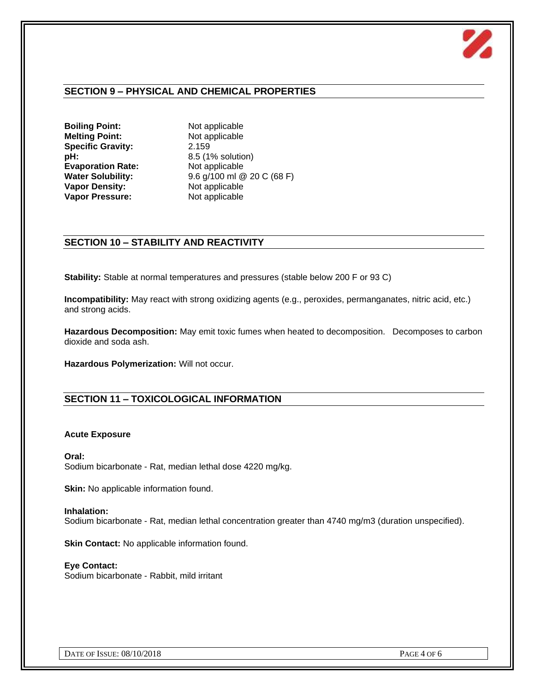

# **SECTION 9 – PHYSICAL AND CHEMICAL PROPERTIES**

**Boiling Point:** Not applicable **Melting Point:** Not applicable **Specific Gravity:** 2.159 **pH:** 8.5 (1% solution) **Evaporation Rate:** Not applicable **Vapor Density:**<br> **Vapor Pressure:** Not applicable<br>
Not applicable **Vapor Pressure:** 

**Water Solubility:** 9.6 g/100 ml @ 20 C (68 F)

## **SECTION 10 – STABILITY AND REACTIVITY**

**Stability:** Stable at normal temperatures and pressures (stable below 200 F or 93 C)

**Incompatibility:** May react with strong oxidizing agents (e.g., peroxides, permanganates, nitric acid, etc.) and strong acids.

**Hazardous Decomposition:** May emit toxic fumes when heated to decomposition. Decomposes to carbon dioxide and soda ash.

**Hazardous Polymerization:** Will not occur.

## **SECTION 11 – TOXICOLOGICAL INFORMATION**

#### **Acute Exposure**

**Oral:** Sodium bicarbonate - Rat, median lethal dose 4220 mg/kg.

**Skin:** No applicable information found.

#### **Inhalation:** Sodium bicarbonate - Rat, median lethal concentration greater than 4740 mg/m3 (duration unspecified).

**Skin Contact:** No applicable information found.

**Eye Contact:** Sodium bicarbonate - Rabbit, mild irritant

DATE OF ISSUE:  $08/10/2018$  PAGE 4 OF 6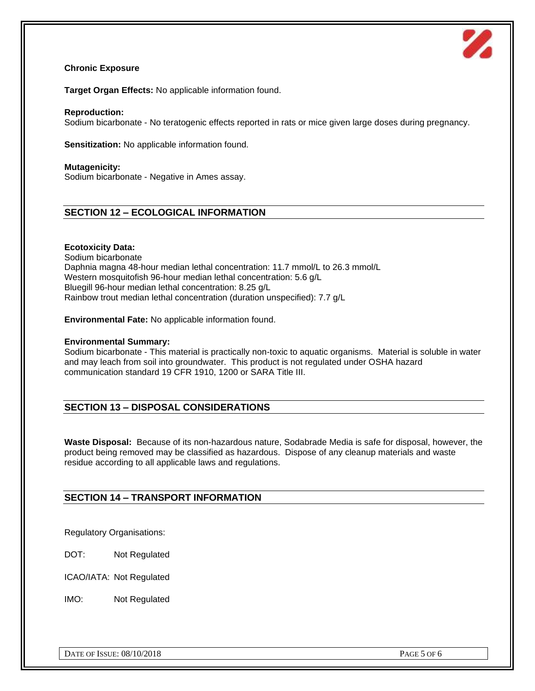

#### **Chronic Exposure**

**Target Organ Effects:** No applicable information found.

#### **Reproduction:**

Sodium bicarbonate - No teratogenic effects reported in rats or mice given large doses during pregnancy.

**Sensitization:** No applicable information found.

#### **Mutagenicity:**

Sodium bicarbonate - Negative in Ames assay.

# **SECTION 12 – ECOLOGICAL INFORMATION**

#### **Ecotoxicity Data:**

Sodium bicarbonate Daphnia magna 48-hour median lethal concentration: 11.7 mmol/L to 26.3 mmol/L Western mosquitofish 96-hour median lethal concentration: 5.6 g/L Bluegill 96-hour median lethal concentration: 8.25 g/L Rainbow trout median lethal concentration (duration unspecified): 7.7 g/L

**Environmental Fate:** No applicable information found.

#### **Environmental Summary:**

Sodium bicarbonate - This material is practically non-toxic to aquatic organisms. Material is soluble in water and may leach from soil into groundwater. This product is not regulated under OSHA hazard communication standard 19 CFR 1910, 1200 or SARA Title III.

# **SECTION 13 – DISPOSAL CONSIDERATIONS**

**Waste Disposal:** Because of its non-hazardous nature, Sodabrade Media is safe for disposal, however, the product being removed may be classified as hazardous. Dispose of any cleanup materials and waste residue according to all applicable laws and regulations.

# **SECTION 14 – TRANSPORT INFORMATION**

Regulatory Organisations:

DOT: Not Regulated

ICAO/IATA: Not Regulated

IMO: Not Regulated

DATE OF ISSUE:  $08/10/2018$  PAGE 5 OF 6